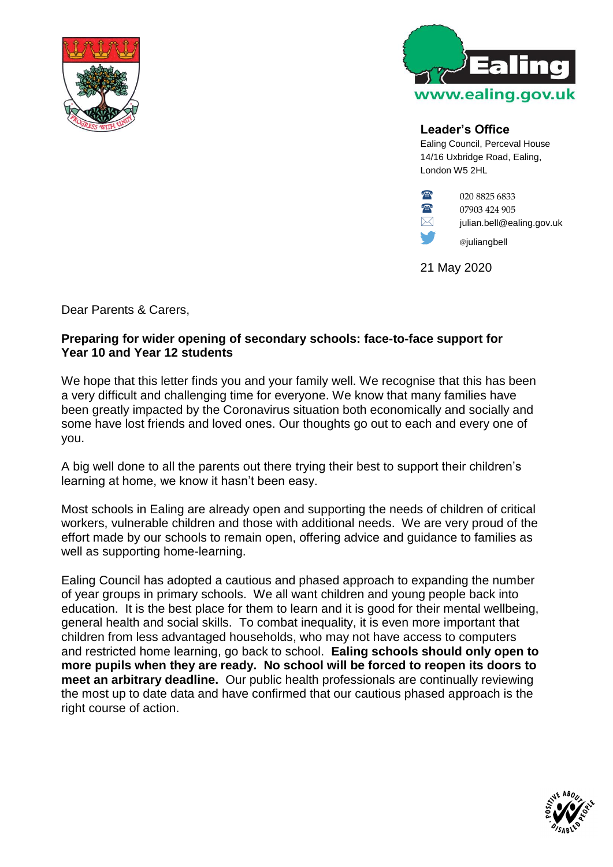



## **Leader's Office**

Ealing Council, Perceval House 14/16 Uxbridge Road, Ealing, London W5 2HL



**124 905** 07903 424 905

 $\boxtimes$  julian.bell@ealing.gov.uk

@juliangbell

21 May 2020

Dear Parents & Carers,

## **Preparing for wider opening of secondary schools: face-to-face support for Year 10 and Year 12 students**

We hope that this letter finds you and your family well. We recognise that this has been a very difficult and challenging time for everyone. We know that many families have been greatly impacted by the Coronavirus situation both economically and socially and some have lost friends and loved ones. Our thoughts go out to each and every one of you.

A big well done to all the parents out there trying their best to support their children's learning at home, we know it hasn't been easy.

Most schools in Ealing are already open and supporting the needs of children of critical workers, vulnerable children and those with additional needs. We are very proud of the effort made by our schools to remain open, offering advice and guidance to families as well as supporting home-learning.

Ealing Council has adopted a cautious and phased approach to expanding the number of year groups in primary schools. We all want children and young people back into education. It is the best place for them to learn and it is good for their mental wellbeing, general health and social skills. To combat inequality, it is even more important that children from less advantaged households, who may not have access to computers and restricted home learning, go back to school. **Ealing schools should only open to more pupils when they are ready. No school will be forced to reopen its doors to meet an arbitrary deadline.** Our public health professionals are continually reviewing the most up to date data and have confirmed that our cautious phased approach is the right course of action.

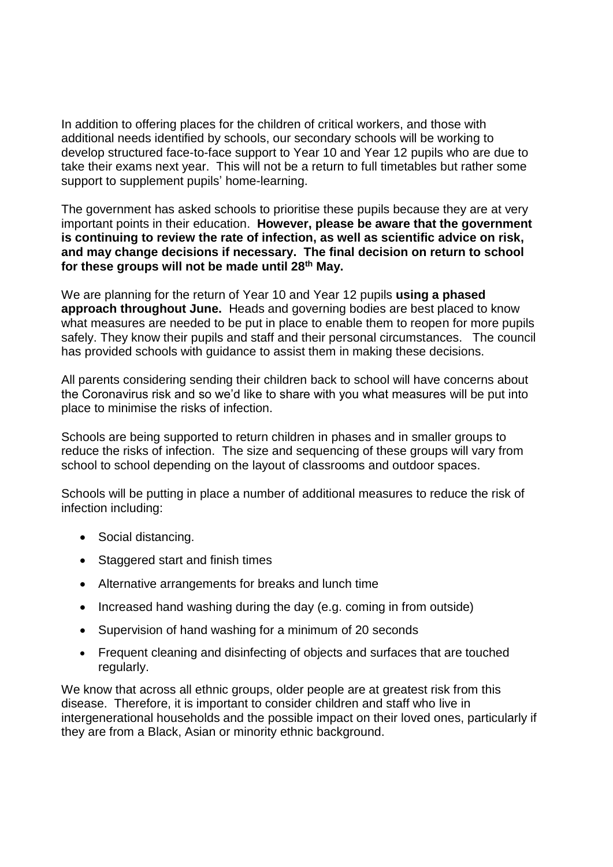In addition to offering places for the children of critical workers, and those with additional needs identified by schools, our secondary schools will be working to develop structured face-to-face support to Year 10 and Year 12 pupils who are due to take their exams next year. This will not be a return to full timetables but rather some support to supplement pupils' home-learning.

The government has asked schools to prioritise these pupils because they are at very important points in their education. **However, please be aware that the government is continuing to review the rate of infection, as well as scientific advice on risk, and may change decisions if necessary. The final decision on return to school for these groups will not be made until 28th May.**

We are planning for the return of Year 10 and Year 12 pupils **using a phased approach throughout June.** Heads and governing bodies are best placed to know what measures are needed to be put in place to enable them to reopen for more pupils safely. They know their pupils and staff and their personal circumstances. The council has provided schools with guidance to assist them in making these decisions.

All parents considering sending their children back to school will have concerns about the Coronavirus risk and so we'd like to share with you what measures will be put into place to minimise the risks of infection.

Schools are being supported to return children in phases and in smaller groups to reduce the risks of infection. The size and sequencing of these groups will vary from school to school depending on the layout of classrooms and outdoor spaces.

Schools will be putting in place a number of additional measures to reduce the risk of infection including:

- Social distancing.
- Staggered start and finish times
- Alternative arrangements for breaks and lunch time
- Increased hand washing during the day (e.g. coming in from outside)
- Supervision of hand washing for a minimum of 20 seconds
- Frequent cleaning and disinfecting of objects and surfaces that are touched regularly.

We know that across all ethnic groups, older people are at greatest risk from this disease. Therefore, it is important to consider children and staff who live in intergenerational households and the possible impact on their loved ones, particularly if they are from a Black, Asian or minority ethnic background.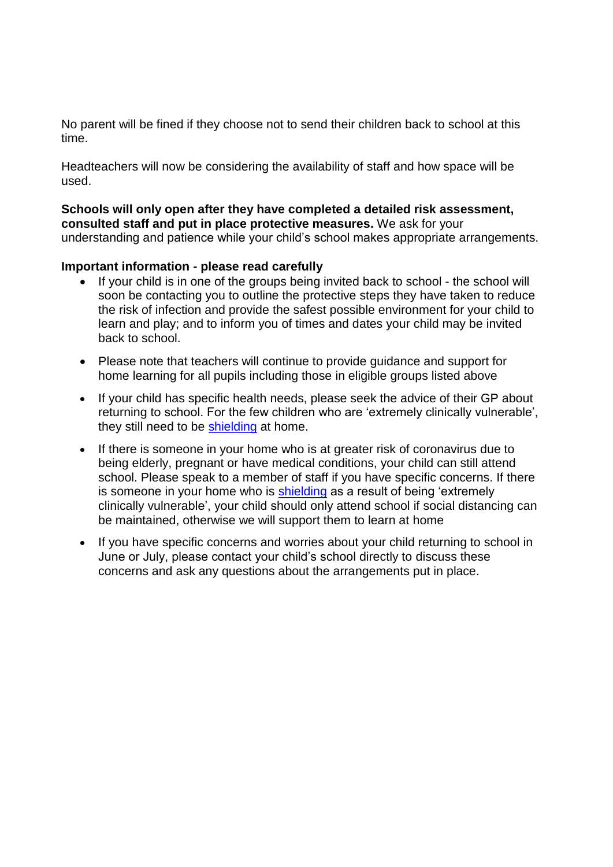No parent will be fined if they choose not to send their children back to school at this time.

Headteachers will now be considering the availability of staff and how space will be used.

**Schools will only open after they have completed a detailed risk assessment, consulted staff and put in place protective measures.** We ask for your understanding and patience while your child's school makes appropriate arrangements.

## **Important information - please read carefully**

- If your child is in one of the groups being invited back to school the school will soon be contacting you to outline the protective steps they have taken to reduce the risk of infection and provide the safest possible environment for your child to learn and play; and to inform you of times and dates your child may be invited back to school.
- Please note that teachers will continue to provide guidance and support for home learning for all pupils including those in eligible groups listed above
- If your child has specific health needs, please seek the advice of their GP about returning to school. For the few children who are 'extremely clinically vulnerable', they still need to be [shielding](https://www.gov.uk/government/publications/guidance-on-shielding-and-protecting-extremely-vulnerable-persons-from-covid-19/guidance-on-shielding-and-protecting-extremely-vulnerable-persons-from-covid-19) at home.
- If there is someone in your home who is at greater risk of coronavirus due to being elderly, pregnant or have medical conditions, your child can still attend school. Please speak to a member of staff if you have specific concerns. If there is someone in your home who is [shielding](https://www.gov.uk/government/publications/guidance-on-shielding-and-protecting-extremely-vulnerable-persons-from-covid-19/guidance-on-shielding-and-protecting-extremely-vulnerable-persons-from-covid-19) as a result of being 'extremely clinically vulnerable', your child should only attend school if social distancing can be maintained, otherwise we will support them to learn at home
- If you have specific concerns and worries about your child returning to school in June or July, please contact your child's school directly to discuss these concerns and ask any questions about the arrangements put in place.